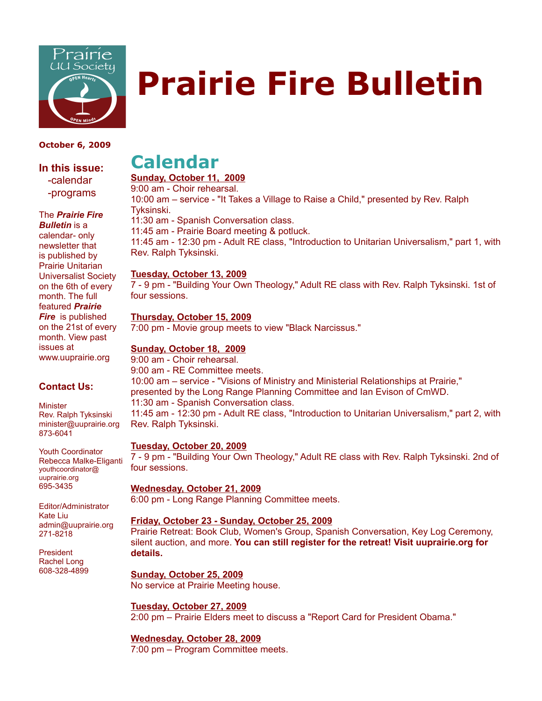

# **Prairie Fire Bulletin**

#### **October 6, 2009**

**In this issue:** -calendar -programs

The *Prairie Fire*

*Bulletin* is a calendar- only newsletter that is published by Prairie Unitarian Universalist Society on the 6th of every month. The full featured *Prairie Fire* is published on the 21st of every month. View past issues at www.uuprairie.org

#### **Contact Us:**

**Minister** Rev. Ralph Tyksinski minister@uuprairie.org 873-6041

Youth Coordinator Rebecca Malke-Eliganti youthcoordinator@ uuprairie.org 695-3435

Editor/Administrator Kate Liu admin@uuprairie.org 271-8218

President Rachel Long 608-328-4899

## **Calendar**

#### **Sunday, October 11, 2009**

9:00 am - Choir rehearsal.

10:00 am – service - "It Takes a Village to Raise a Child," presented by Rev. Ralph Tyksinski. 11:30 am - Spanish Conversation class.

11:45 am - Prairie Board meeting & potluck.

11:45 am - 12:30 pm - Adult RE class, "Introduction to Unitarian Universalism," part 1, with Rev. Ralph Tyksinski.

#### **Tuesday, October 13, 2009**

7 - 9 pm - "Building Your Own Theology," Adult RE class with Rev. Ralph Tyksinski. 1st of four sessions.

#### **Thursday, October 15, 2009**

7:00 pm - Movie group meets to view "Black Narcissus."

#### **Sunday, October 18, 2009**

9:00 am - Choir rehearsal. 9:00 am - RE Committee meets. 10:00 am – service - "Visions of Ministry and Ministerial Relationships at Prairie," presented by the Long Range Planning Committee and Ian Evison of CmWD. 11:30 am - Spanish Conversation class. 11:45 am - 12:30 pm - Adult RE class, "Introduction to Unitarian Universalism," part 2, with Rev. Ralph Tyksinski.

#### **Tuesday, October 20, 2009**

7 - 9 pm - "Building Your Own Theology," Adult RE class with Rev. Ralph Tyksinski. 2nd of four sessions.

#### **Wednesday, October 21, 2009**

6:00 pm - Long Range Planning Committee meets.

#### **Friday, October 23 - Sunday, October 25, 2009**

Prairie Retreat: Book Club, Women's Group, Spanish Conversation, Key Log Ceremony, silent auction, and more. **You can still register for the retreat! Visit uuprairie.org for details.** 

**Sunday, October 25, 2009** No service at Prairie Meeting house.

**Tuesday, October 27, 2009** 2:00 pm – Prairie Elders meet to discuss a "Report Card for President Obama."

#### **Wednesday, October 28, 2009**

7:00 pm – Program Committee meets.